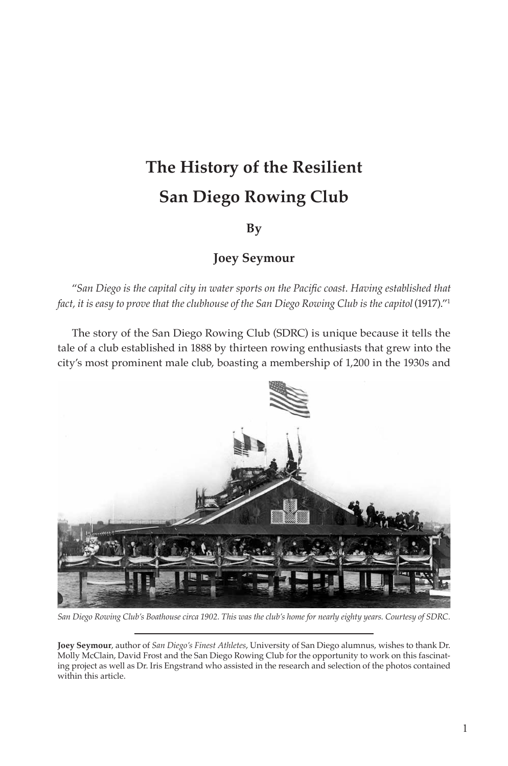# **The History of the Resilient San Diego Rowing Club**

## **By**

## **Joey Seymour**

"San Diego is the capital city in water sports on the Pacific coast. Having established that *fact, it is easy to prove that the clubhouse of the San Diego Rowing Club is the capitol* (1917)."<sup>1</sup>

The story of the San Diego Rowing Club (SDRC) is unique because it tells the tale of a club established in 1888 by thirteen rowing enthusiasts that grew into the city's most prominent male club, boasting a membership of 1,200 in the 1930s and



 $S$ an Diego Rowing Club's Boathouse circa 1902. This was the club's home for nearly eighty years. Courtesy of SDRC.

**Joey Seymour**, author of *San Diego's Finest Athletes*, University of San Diego alumnus, wishes to thank Dr. Molly McClain, David Frost and the San Diego Rowing Club for the opportunity to work on this fascinating project as well as Dr. Iris Engstrand who assisted in the research and selection of the photos contained within this article.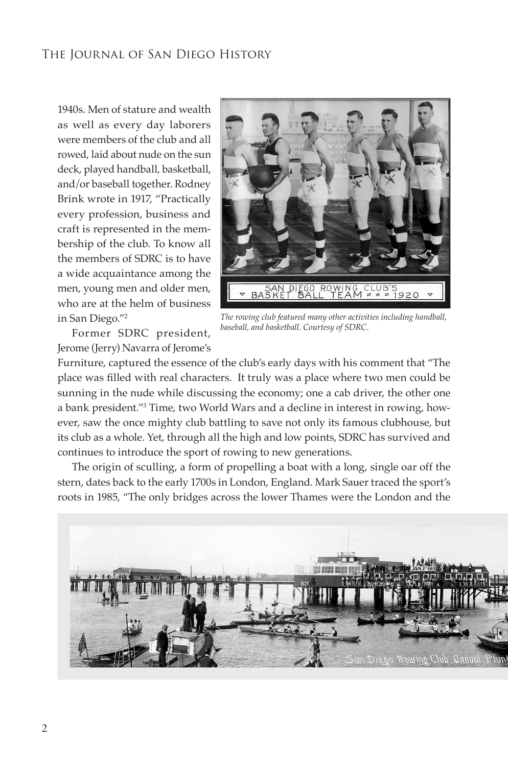1940s. Men of stature and wealth as well as every day laborers were members of the club and all rowed, laid about nude on the sun deck, played handball, basketball, and/or baseball together. Rodney Brink wrote in 1917, "Practically every profession, business and craft is represented in the membership of the club. To know all the members of SDRC is to have a wide acquaintance among the men, young men and older men, who are at the helm of business in San Diego."2



Former SDRC president, Jerome (Jerry) Navarra of Jerome's

*The rowing club featured many other activities including handball,*   $baseball$ , and basketball. Courtesy of SDRC.

Furniture, captured the essence of the club's early days with his comment that "The place was filled with real characters. It truly was a place where two men could be sunning in the nude while discussing the economy; one a cab driver, the other one a bank president."3 Time, two World Wars and a decline in interest in rowing, however, saw the once mighty club battling to save not only its famous clubhouse, but its club as a whole. Yet, through all the high and low points, SDRC has survived and continues to introduce the sport of rowing to new generations.

The origin of sculling, a form of propelling a boat with a long, single oar off the stern, dates back to the early 1700s in London, England. Mark Sauer traced the sport's roots in 1985, "The only bridges across the lower Thames were the London and the

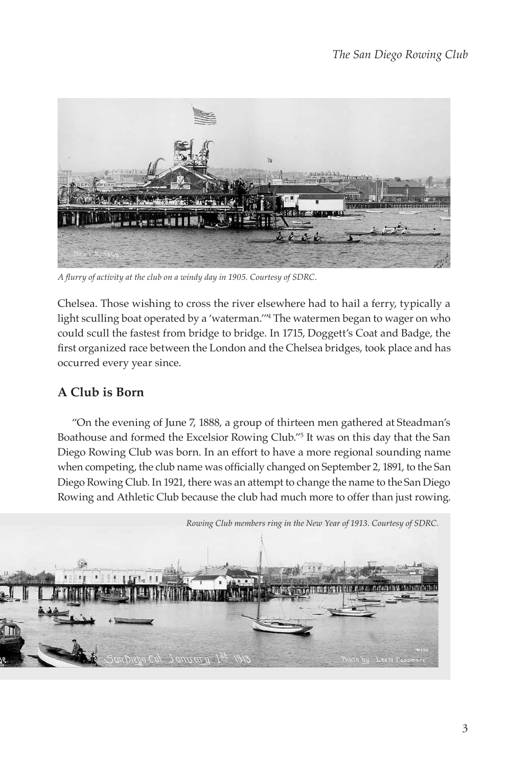

A flurry of activity at the club on a windy day in 1905. Courtesy of SDRC.

Chelsea. Those wishing to cross the river elsewhere had to hail a ferry, typically a light sculling boat operated by a 'waterman."<sup>4</sup> The watermen began to wager on who could scull the fastest from bridge to bridge. In 1715, Doggett's Coat and Badge, the first organized race between the London and the Chelsea bridges, took place and has occurred every year since.

## **A Club is Born**

"On the evening of June 7, 1888, a group of thirteen men gathered at Steadman's Boathouse and formed the Excelsior Rowing Club."5 It was on this day that the San Diego Rowing Club was born. In an effort to have a more regional sounding name when competing, the club name was officially changed on September 2, 1891, to the San Diego Rowing Club. In 1921, there was an attempt to change the name to the San Diego Rowing and Athletic Club because the club had much more to offer than just rowing.

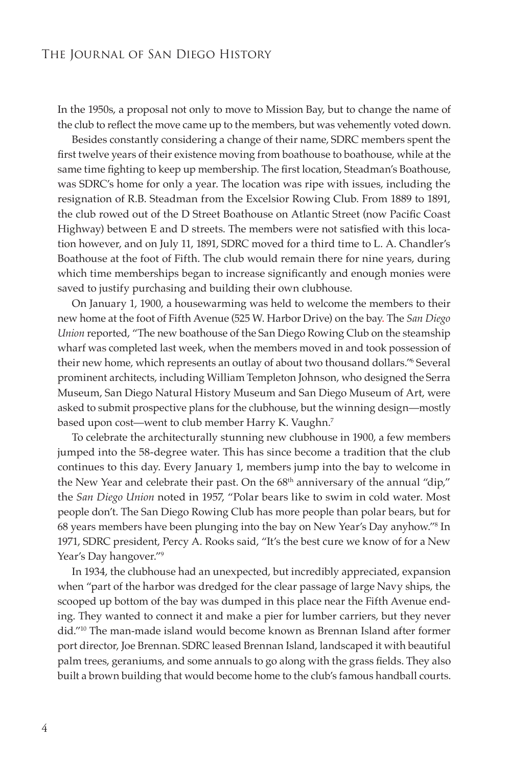In the 1950s, a proposal not only to move to Mission Bay, but to change the name of the club to reflect the move came up to the members, but was vehemently voted down.

Besides constantly considering a change of their name, SDRC members spent the first twelve years of their existence moving from boathouse to boathouse, while at the same time fighting to keep up membership. The first location, Steadman's Boathouse, was SDRC's home for only a year. The location was ripe with issues, including the resignation of R.B. Steadman from the Excelsior Rowing Club. From 1889 to 1891, the club rowed out of the D Street Boathouse on Atlantic Street (now Pacific Coast Highway) between E and D streets. The members were not satisfied with this location however, and on July 11, 1891, SDRC moved for a third time to L. A. Chandler's Boathouse at the foot of Fifth. The club would remain there for nine years, during which time memberships began to increase significantly and enough monies were saved to justify purchasing and building their own clubhouse.

On January 1, 1900, a housewarming was held to welcome the members to their new home at the foot of Fifth Avenue (525 W. Harbor Drive) on the bay. The *San Diego Union* reported, "The new boathouse of the San Diego Rowing Club on the steamship wharf was completed last week, when the members moved in and took possession of their new home, which represents an outlay of about two thousand dollars."<sup>6</sup> Several prominent architects, including William Templeton Johnson, who designed the Serra Museum, San Diego Natural History Museum and San Diego Museum of Art, were asked to submit prospective plans for the clubhouse, but the winning design—mostly based upon cost—went to club member Harry K. Vaughn.7

To celebrate the architecturally stunning new clubhouse in 1900, a few members jumped into the 58-degree water. This has since become a tradition that the club continues to this day. Every January 1, members jump into the bay to welcome in the New Year and celebrate their past. On the 68<sup>th</sup> anniversary of the annual "dip," the *San Diego Union* noted in 1957, "Polar bears like to swim in cold water. Most people don't. The San Diego Rowing Club has more people than polar bears, but for 68 years members have been plunging into the bay on New Year's Day anyhow."8 In 1971, SDRC president, Percy A. Rooks said, "It's the best cure we know of for a New Year's Day hangover."<sup>9</sup>

In 1934, the clubhouse had an unexpected, but incredibly appreciated, expansion when "part of the harbor was dredged for the clear passage of large Navy ships, the scooped up bottom of the bay was dumped in this place near the Fifth Avenue ending. They wanted to connect it and make a pier for lumber carriers, but they never did."10 The man-made island would become known as Brennan Island after former port director, Joe Brennan. SDRC leased Brennan Island, landscaped it with beautiful palm trees, geraniums, and some annuals to go along with the grass fields. They also built a brown building that would become home to the club's famous handball courts.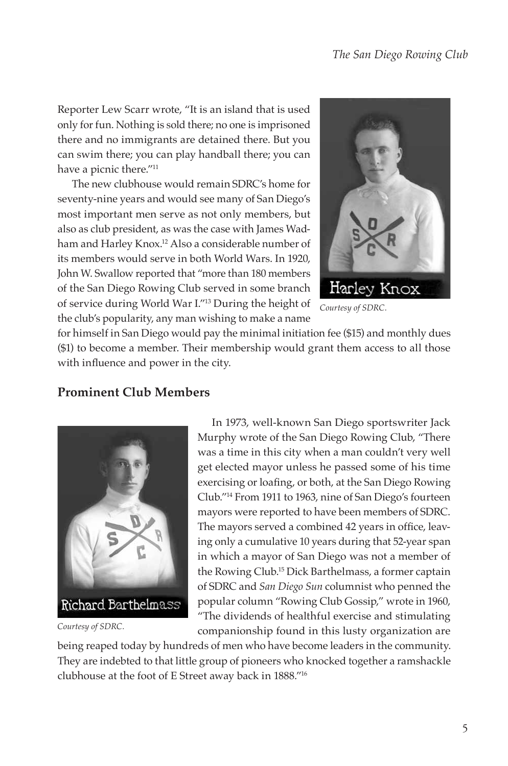Reporter Lew Scarr wrote, "It is an island that is used only for fun. Nothing is sold there; no one is imprisoned there and no immigrants are detained there. But you can swim there; you can play handball there; you can have a picnic there."<sup>11</sup>

The new clubhouse would remain SDRC's home for seventy-nine years and would see many of San Diego's most important men serve as not only members, but also as club president, as was the case with James Wadham and Harley Knox.<sup>12</sup> Also a considerable number of its members would serve in both World Wars. In 1920, John W. Swallow reported that "more than 180 members of the San Diego Rowing Club served in some branch of service during World War I."13 During the height of the club's popularity, any man wishing to make a name



Courtesy of SDRC.

for himself in San Diego would pay the minimal initiation fee (\$15) and monthly dues (\$1) to become a member. Their membership would grant them access to all those with influence and power in the city.



Courtesy of SDRC.

In 1973, well-known San Diego sportswriter Jack Murphy wrote of the San Diego Rowing Club, "There was a time in this city when a man couldn't very well get elected mayor unless he passed some of his time exercising or loafing, or both, at the San Diego Rowing Club."14 From 1911 to 1963, nine of San Diego's fourteen mayors were reported to have been members of SDRC. The mayors served a combined 42 years in office, leaving only a cumulative 10 years during that 52-year span in which a mayor of San Diego was not a member of the Rowing Club.15 Dick Barthelmass, a former captain of SDRC and *San Diego Sun* columnist who penned the popular column "Rowing Club Gossip," wrote in 1960, "The dividends of healthful exercise and stimulating companionship found in this lusty organization are

being reaped today by hundreds of men who have become leaders in the community. They are indebted to that little group of pioneers who knocked together a ramshackle clubhouse at the foot of E Street away back in 1888."16

# **Prominent Club Members**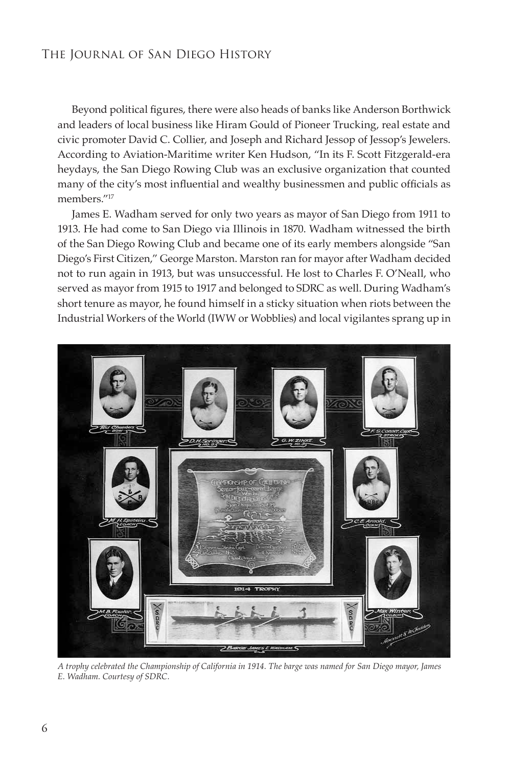Beyond political figures, there were also heads of banks like Anderson Borthwick and leaders of local business like Hiram Gould of Pioneer Trucking, real estate and civic promoter David C. Collier, and Joseph and Richard Jessop of Jessop's Jewelers. According to Aviation-Maritime writer Ken Hudson, "In its F. Scott Fitzgerald-era heydays, the San Diego Rowing Club was an exclusive organization that counted many of the city's most influential and wealthy businessmen and public officials as members."17

James E. Wadham served for only two years as mayor of San Diego from 1911 to 1913. He had come to San Diego via Illinois in 1870. Wadham witnessed the birth of the San Diego Rowing Club and became one of its early members alongside "San Diego's First Citizen," George Marston. Marston ran for mayor after Wadham decided not to run again in 1913, but was unsuccessful. He lost to Charles F. O'Neall, who served as mayor from 1915 to 1917 and belonged to SDRC as well. During Wadham's short tenure as mayor, he found himself in a sticky situation when riots between the Industrial Workers of the World (IWW or Wobblies) and local vigilantes sprang up in



A trophy celebrated the Championship of California in 1914. The barge was named for San Diego mayor, James  $E.$  Wadham. Courtesy of SDRC.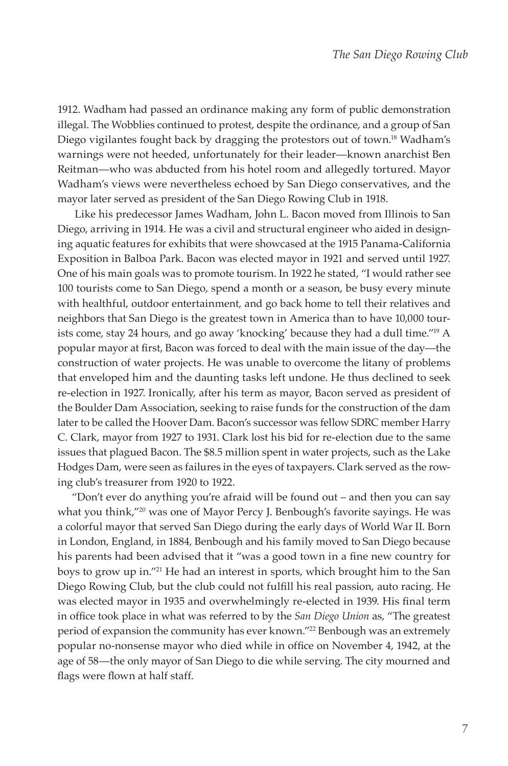1912. Wadham had passed an ordinance making any form of public demonstration illegal. The Wobblies continued to protest, despite the ordinance, and a group of San Diego vigilantes fought back by dragging the protestors out of town.<sup>18</sup> Wadham's warnings were not heeded, unfortunately for their leader—known anarchist Ben Reitman—who was abducted from his hotel room and allegedly tortured. Mayor Wadham's views were nevertheless echoed by San Diego conservatives, and the mayor later served as president of the San Diego Rowing Club in 1918.

Like his predecessor James Wadham, John L. Bacon moved from Illinois to San Diego, arriving in 1914. He was a civil and structural engineer who aided in designing aquatic features for exhibits that were showcased at the 1915 Panama-California Exposition in Balboa Park. Bacon was elected mayor in 1921 and served until 1927. One of his main goals was to promote tourism. In 1922 he stated, "I would rather see 100 tourists come to San Diego, spend a month or a season, be busy every minute with healthful, outdoor entertainment, and go back home to tell their relatives and neighbors that San Diego is the greatest town in America than to have 10,000 tourists come, stay 24 hours, and go away 'knocking' because they had a dull time."19 A popular mayor at first, Bacon was forced to deal with the main issue of the day-the construction of water projects. He was unable to overcome the litany of problems that enveloped him and the daunting tasks left undone. He thus declined to seek re-election in 1927. Ironically, after his term as mayor, Bacon served as president of the Boulder Dam Association, seeking to raise funds for the construction of the dam later to be called the Hoover Dam. Bacon's successor was fellow SDRC member Harry C. Clark, mayor from 1927 to 1931. Clark lost his bid for re-election due to the same issues that plagued Bacon. The \$8.5 million spent in water projects, such as the Lake Hodges Dam, were seen as failures in the eyes of taxpayers. Clark served as the rowing club's treasurer from 1920 to 1922.

"Don't ever do anything you're afraid will be found out – and then you can say what you think,"<sup>20</sup> was one of Mayor Percy J. Benbough's favorite sayings. He was a colorful mayor that served San Diego during the early days of World War II. Born in London, England, in 1884, Benbough and his family moved to San Diego because his parents had been advised that it "was a good town in a fine new country for boys to grow up in."21 He had an interest in sports, which brought him to the San Diego Rowing Club, but the club could not fulfill his real passion, auto racing. He was elected mayor in 1935 and overwhelmingly re-elected in 1939. His final term in office took place in what was referred to by the *San Diego Union* as, "The greatest period of expansion the community has ever known."<sup>22</sup> Benbough was an extremely popular no-nonsense mayor who died while in office on November 4, 1942, at the age of 58—the only mayor of San Diego to die while serving. The city mourned and flags were flown at half staff.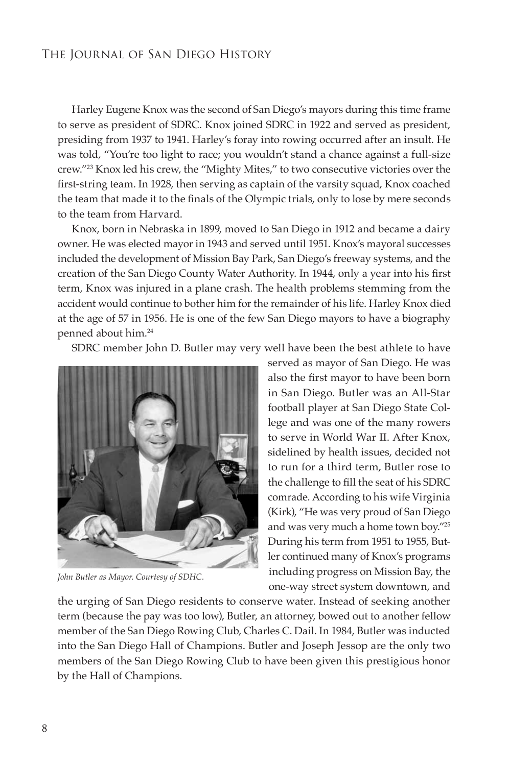Harley Eugene Knox was the second of San Diego's mayors during this time frame to serve as president of SDRC. Knox joined SDRC in 1922 and served as president, presiding from 1937 to 1941. Harley's foray into rowing occurred after an insult. He was told, "You're too light to race; you wouldn't stand a chance against a full-size crew."23 Knox led his crew, the "Mighty Mites," to two consecutive victories over the first-string team. In 1928, then serving as captain of the varsity squad, Knox coached the team that made it to the finals of the Olympic trials, only to lose by mere seconds to the team from Harvard.

Knox, born in Nebraska in 1899, moved to San Diego in 1912 and became a dairy owner. He was elected mayor in 1943 and served until 1951. Knox's mayoral successes included the development of Mission Bay Park, San Diego's freeway systems, and the creation of the San Diego County Water Authority. In 1944, only a year into his first term, Knox was injured in a plane crash. The health problems stemming from the accident would continue to bother him for the remainder of his life. Harley Knox died at the age of 57 in 1956. He is one of the few San Diego mayors to have a biography penned about him.24

SDRC member John D. Butler may very well have been the best athlete to have



John Butler as Mayor. Courtesy of SDHC.

served as mayor of San Diego. He was also the first mayor to have been born in San Diego. Butler was an All-Star football player at San Diego State College and was one of the many rowers to serve in World War II. After Knox, sidelined by health issues, decided not to run for a third term, Butler rose to the challenge to fill the seat of his SDRC comrade. According to his wife Virginia (Kirk), "He was very proud of San Diego and was very much a home town boy."25 During his term from 1951 to 1955, Butler continued many of Knox's programs including progress on Mission Bay, the one-way street system downtown, and

the urging of San Diego residents to conserve water. Instead of seeking another term (because the pay was too low), Butler, an attorney, bowed out to another fellow member of the San Diego Rowing Club, Charles C. Dail. In 1984, Butler was inducted into the San Diego Hall of Champions. Butler and Joseph Jessop are the only two members of the San Diego Rowing Club to have been given this prestigious honor by the Hall of Champions.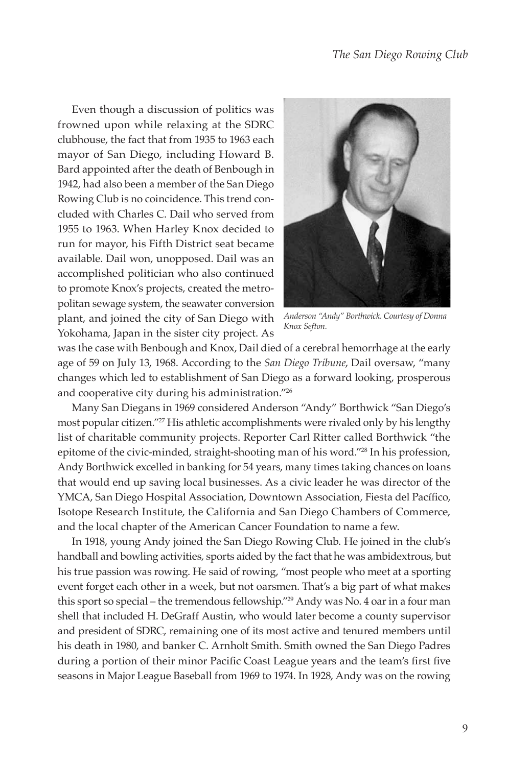Even though a discussion of politics was frowned upon while relaxing at the SDRC clubhouse, the fact that from 1935 to 1963 each mayor of San Diego, including Howard B. Bard appointed after the death of Benbough in 1942, had also been a member of the San Diego Rowing Club is no coincidence. This trend concluded with Charles C. Dail who served from 1955 to 1963. When Harley Knox decided to run for mayor, his Fifth District seat became available. Dail won, unopposed. Dail was an accomplished politician who also continued to promote Knox's projects, created the metropolitan sewage system, the seawater conversion plant, and joined the city of San Diego with Yokohama, Japan in the sister city project. As



 $Anderson$  "Andy" Borthwick. Courtesy of Donna Knox Sefton.

was the case with Benbough and Knox, Dail died of a cerebral hemorrhage at the early age of 59 on July 13, 1968. According to the *San Diego Tribune*, Dail oversaw, "many changes which led to establishment of San Diego as a forward looking, prosperous and cooperative city during his administration."26

Many San Diegans in 1969 considered Anderson "Andy" Borthwick "San Diego's most popular citizen."<sup>27</sup> His athletic accomplishments were rivaled only by his lengthy list of charitable community projects. Reporter Carl Ritter called Borthwick "the epitome of the civic-minded, straight-shooting man of his word."28 In his profession, Andy Borthwick excelled in banking for 54 years, many times taking chances on loans that would end up saving local businesses. As a civic leader he was director of the YMCA, San Diego Hospital Association, Downtown Association, Fiesta del Pacífico, Isotope Research Institute, the California and San Diego Chambers of Commerce, and the local chapter of the American Cancer Foundation to name a few.

In 1918, young Andy joined the San Diego Rowing Club. He joined in the club's handball and bowling activities, sports aided by the fact that he was ambidextrous, but his true passion was rowing. He said of rowing, "most people who meet at a sporting event forget each other in a week, but not oarsmen. That's a big part of what makes this sport so special – the tremendous fellowship."29 Andy was No. 4 oar in a four man shell that included H. DeGraff Austin, who would later become a county supervisor and president of SDRC, remaining one of its most active and tenured members until his death in 1980, and banker C. Arnholt Smith. Smith owned the San Diego Padres during a portion of their minor Pacific Coast League years and the team's first five seasons in Major League Baseball from 1969 to 1974. In 1928, Andy was on the rowing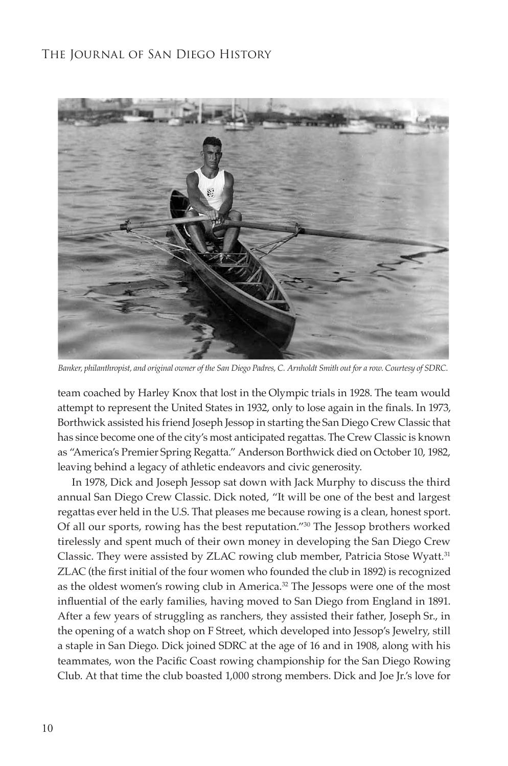

Banker, philanthropist, and original owner of the San Diego Padres, C. Arnholdt Smith out for a row. Courtesy of SDRC.

team coached by Harley Knox that lost in the Olympic trials in 1928. The team would attempt to represent the United States in 1932, only to lose again in the finals. In 1973, Borthwick assisted his friend Joseph Jessop in starting the San Diego Crew Classic that has since become one of the city's most anticipated regattas. The Crew Classic is known as "America's Premier Spring Regatta." Anderson Borthwick died on October 10, 1982, leaving behind a legacy of athletic endeavors and civic generosity.

In 1978, Dick and Joseph Jessop sat down with Jack Murphy to discuss the third annual San Diego Crew Classic. Dick noted, "It will be one of the best and largest regattas ever held in the U.S. That pleases me because rowing is a clean, honest sport. Of all our sports, rowing has the best reputation."30 The Jessop brothers worked tirelessly and spent much of their own money in developing the San Diego Crew Classic. They were assisted by ZLAC rowing club member, Patricia Stose Wyatt.<sup>31</sup> ZLAC (the first initial of the four women who founded the club in 1892) is recognized as the oldest women's rowing club in America.<sup>32</sup> The Jessops were one of the most influential of the early families, having moved to San Diego from England in 1891. After a few years of struggling as ranchers, they assisted their father, Joseph Sr., in the opening of a watch shop on F Street, which developed into Jessop's Jewelry, still a staple in San Diego. Dick joined SDRC at the age of 16 and in 1908, along with his teammates, won the Pacific Coast rowing championship for the San Diego Rowing Club. At that time the club boasted 1,000 strong members. Dick and Joe Jr.'s love for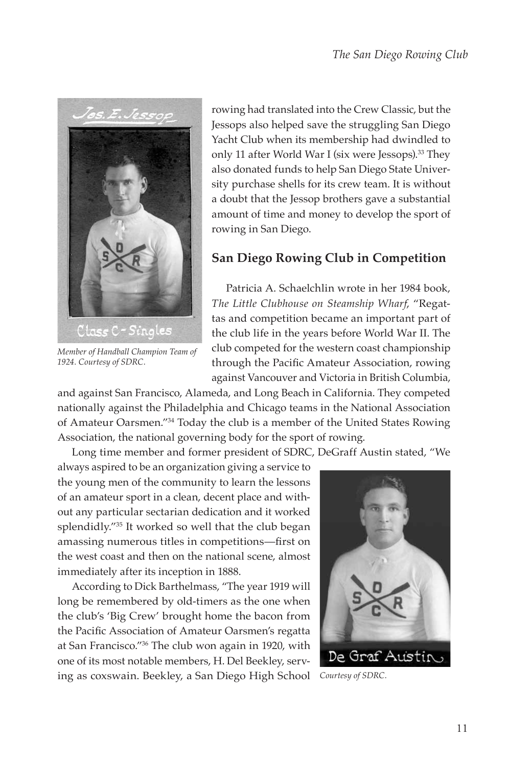

*Member of Handball Champion Team of*  1924. Courtesy of SDRC.

rowing had translated into the Crew Classic, but the Jessops also helped save the struggling San Diego Yacht Club when its membership had dwindled to only 11 after World War I (six were Jessops).<sup>33</sup> They also donated funds to help San Diego State University purchase shells for its crew team. It is without a doubt that the Jessop brothers gave a substantial amount of time and money to develop the sport of rowing in San Diego.

# **San Diego Rowing Club in Competition**

Patricia A. Schaelchlin wrote in her 1984 book, *The Little Clubhouse on Steamship Wharf*, "Regattas and competition became an important part of the club life in the years before World War II. The club competed for the western coast championship through the Pacific Amateur Association, rowing against Vancouver and Victoria in British Columbia,

and against San Francisco, Alameda, and Long Beach in California. They competed nationally against the Philadelphia and Chicago teams in the National Association of Amateur Oarsmen."34 Today the club is a member of the United States Rowing Association, the national governing body for the sport of rowing.

Long time member and former president of SDRC, DeGraff Austin stated, "We

always aspired to be an organization giving a service to the young men of the community to learn the lessons of an amateur sport in a clean, decent place and without any particular sectarian dedication and it worked splendidly."35 It worked so well that the club began amassing numerous titles in competitions—first on the west coast and then on the national scene, almost immediately after its inception in 1888.

According to Dick Barthelmass, "The year 1919 will long be remembered by old-timers as the one when the club's 'Big Crew' brought home the bacon from the Pacific Association of Amateur Oarsmen's regatta at San Francisco."36 The club won again in 1920, with one of its most notable members, H. Del Beekley, serving as coxswain. Beekley, a San Diego High School *Courtesy of SDRC*.

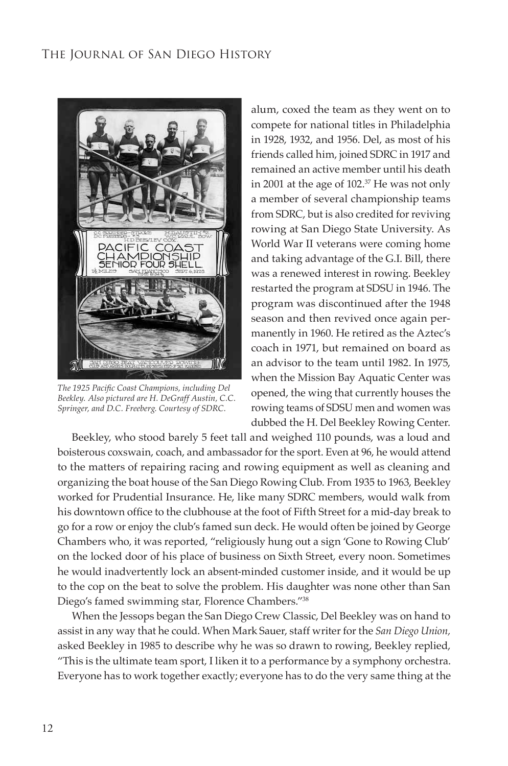

The 1925 Pacific Coast Champions, including Del Beekley. Also pictured are H. DeGraff Austin, C.C. *Springer, and D.C. Freeberg. Courtesy of SDRC.* 

alum, coxed the team as they went on to compete for national titles in Philadelphia in 1928, 1932, and 1956. Del, as most of his friends called him, joined SDRC in 1917 and remained an active member until his death in 2001 at the age of 102.<sup>37</sup> He was not only a member of several championship teams from SDRC, but is also credited for reviving rowing at San Diego State University. As World War II veterans were coming home and taking advantage of the G.I. Bill, there was a renewed interest in rowing. Beekley restarted the program at SDSU in 1946. The program was discontinued after the 1948 season and then revived once again permanently in 1960. He retired as the Aztec's coach in 1971, but remained on board as an advisor to the team until 1982. In 1975, when the Mission Bay Aquatic Center was opened, the wing that currently houses the rowing teams of SDSU men and women was dubbed the H. Del Beekley Rowing Center.

Beekley, who stood barely 5 feet tall and weighed 110 pounds, was a loud and boisterous coxswain, coach, and ambassador for the sport. Even at 96, he would attend to the matters of repairing racing and rowing equipment as well as cleaning and organizing the boat house of the San Diego Rowing Club. From 1935 to 1963, Beekley worked for Prudential Insurance. He, like many SDRC members, would walk from his downtown office to the clubhouse at the foot of Fifth Street for a mid-day break to go for a row or enjoy the club's famed sun deck. He would often be joined by George Chambers who, it was reported, "religiously hung out a sign 'Gone to Rowing Club' on the locked door of his place of business on Sixth Street, every noon. Sometimes he would inadvertently lock an absent-minded customer inside, and it would be up to the cop on the beat to solve the problem. His daughter was none other than San Diego's famed swimming star, Florence Chambers."38

When the Jessops began the San Diego Crew Classic, Del Beekley was on hand to assist in any way that he could. When Mark Sauer, staff writer for the *San Diego Union,* asked Beekley in 1985 to describe why he was so drawn to rowing, Beekley replied, "This is the ultimate team sport, I liken it to a performance by a symphony orchestra. Everyone has to work together exactly; everyone has to do the very same thing at the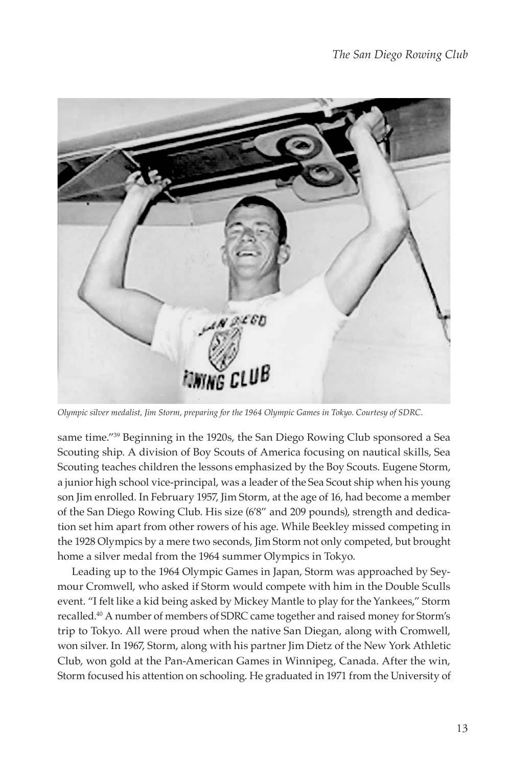

*Olympic silver medalist, Jim Storm, preparing for the 1964 Olympic Games in Tokyo. Courtesy of SDRC.* 

same time."<sup>39</sup> Beginning in the 1920s, the San Diego Rowing Club sponsored a Sea Scouting ship. A division of Boy Scouts of America focusing on nautical skills, Sea Scouting teaches children the lessons emphasized by the Boy Scouts. Eugene Storm, a junior high school vice-principal, was a leader of the Sea Scout ship when his young son Jim enrolled. In February 1957, Jim Storm, at the age of 16, had become a member of the San Diego Rowing Club. His size (6'8" and 209 pounds), strength and dedication set him apart from other rowers of his age. While Beekley missed competing in the 1928 Olympics by a mere two seconds, Jim Storm not only competed, but brought home a silver medal from the 1964 summer Olympics in Tokyo.

Leading up to the 1964 Olympic Games in Japan, Storm was approached by Seymour Cromwell, who asked if Storm would compete with him in the Double Sculls event. "I felt like a kid being asked by Mickey Mantle to play for the Yankees," Storm recalled.40 A number of members of SDRC came together and raised money for Storm's trip to Tokyo. All were proud when the native San Diegan, along with Cromwell, won silver. In 1967, Storm, along with his partner Jim Dietz of the New York Athletic Club, won gold at the Pan-American Games in Winnipeg, Canada. After the win, Storm focused his attention on schooling. He graduated in 1971 from the University of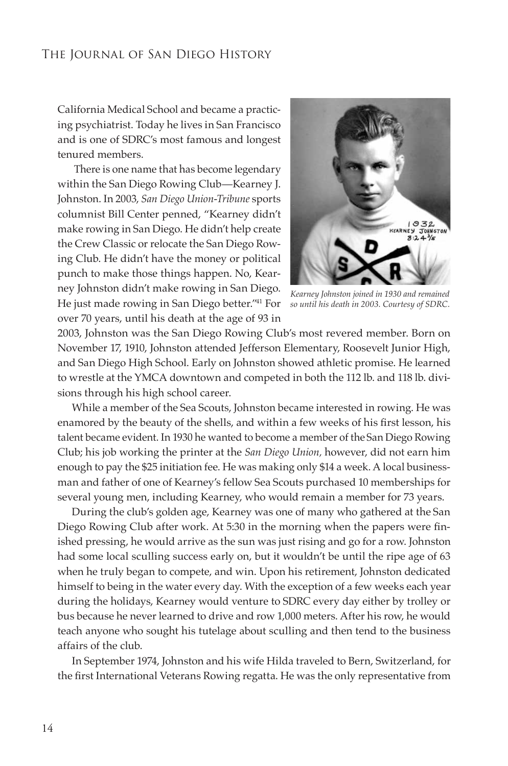California Medical School and became a practicing psychiatrist. Today he lives in San Francisco and is one of SDRC's most famous and longest tenured members.

There is one name that has become legendary within the San Diego Rowing Club—Kearney J. Johnston. In 2003, *San Diego Union-Tribune* sports columnist Bill Center penned, "Kearney didn't make rowing in San Diego. He didn't help create the Crew Classic or relocate the San Diego Rowing Club. He didn't have the money or political punch to make those things happen. No, Kearney Johnston didn't make rowing in San Diego. He just made rowing in San Diego better.<sup>"41</sup> For so until his death in 2003. Courtesy of SDRC. over 70 years, until his death at the age of 93 in



*Kearney Johnston joined in 1930 and remained* 

2003, Johnston was the San Diego Rowing Club's most revered member. Born on November 17, 1910, Johnston attended Jefferson Elementary, Roosevelt Junior High, and San Diego High School. Early on Johnston showed athletic promise. He learned to wrestle at the YMCA downtown and competed in both the 112 lb. and 118 lb. divisions through his high school career.

While a member of the Sea Scouts, Johnston became interested in rowing. He was enamored by the beauty of the shells, and within a few weeks of his first lesson, his talent became evident. In 1930 he wanted to become a member of the San Diego Rowing Club; his job working the printer at the *San Diego Union,* however, did not earn him enough to pay the \$25 initiation fee. He was making only \$14 a week. A local businessman and father of one of Kearney's fellow Sea Scouts purchased 10 memberships for several young men, including Kearney, who would remain a member for 73 years.

During the club's golden age, Kearney was one of many who gathered at the San Diego Rowing Club after work. At 5:30 in the morning when the papers were finished pressing, he would arrive as the sun was just rising and go for a row. Johnston had some local sculling success early on, but it wouldn't be until the ripe age of 63 when he truly began to compete, and win. Upon his retirement, Johnston dedicated himself to being in the water every day. With the exception of a few weeks each year during the holidays, Kearney would venture to SDRC every day either by trolley or bus because he never learned to drive and row 1,000 meters. After his row, he would teach anyone who sought his tutelage about sculling and then tend to the business affairs of the club.

In September 1974, Johnston and his wife Hilda traveled to Bern, Switzerland, for the first International Veterans Rowing regatta. He was the only representative from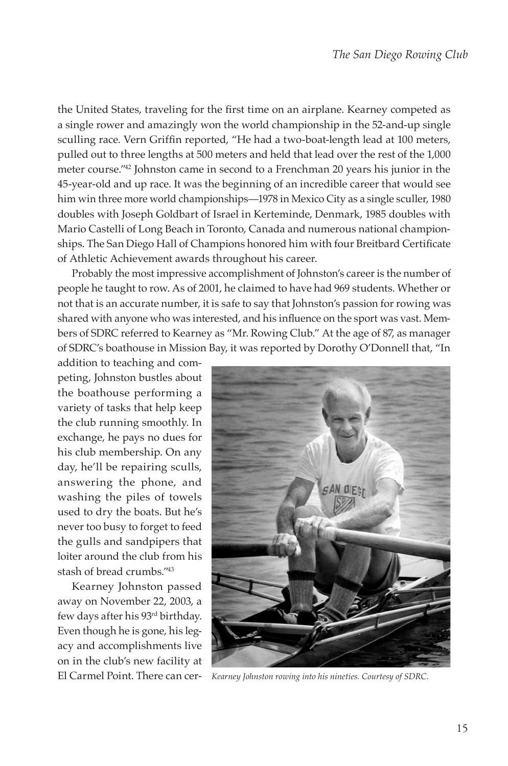the United States, traveling for the first time on an airplane. Kearney competed as a single rower and amazingly won the world championship in the 52-and-up single sculling race. Vern Griffin reported, "He had a two-boat-length lead at 100 meters, pulled out to three lengths at 500 meters and held that lead over the rest of the 1,000 meter course."42 Johnston came in second to a Frenchman 20 years his junior in the 45-year-old and up race. It was the beginning of an incredible career that would see him win three more world championships—1978 in Mexico City as a single sculler, 1980 doubles with Joseph Goldbart of Israel in Kerteminde, Denmark, 1985 doubles with Mario Castelli of Long Beach in Toronto, Canada and numerous national champion ships. The San Diego Hall of Champions honored him with four Breitbard Certificate of Athletic Achievement awards throughout his career.

Probably the most impressive accomplishment of Johnston's career is the number of people he taught to row. As of 2001, he claimed to have had 969 students. Whether or not that is an accurate number, it is safe to say that Johnston's passion for rowing was shared with anyone who was interested, and his influence on the sport was vast. Members of SDRC referred to Kearney as "Mr. Rowing Club." At the age of 87, as manager of SDRC's boathouse in Mission Bay, it was reported by Dorothy O'Donnell that, "In

addition to teaching and competing, Johnston bustles about the boathouse performing a variety of tasks that help keep the club running smoothly. In exchange, he pays no dues for his club membership. On any day, he'll be repairing sculls, answering the phone, and washing the piles of towels used to dry the boats. But he's never too busy to forget to feed the gulls and sandpipers that loiter around the club from his stash of bread crumbs."43

Kearney Johnston passed away on November 22, 2003, a few days after his 93rd birthday. Even though he is gone, his legacy and accomplishments live on in the club's new facility at



El Carmel Point. There can cer- *Kearney Johnston rowing into his nineties. Courtesy of SDRC.*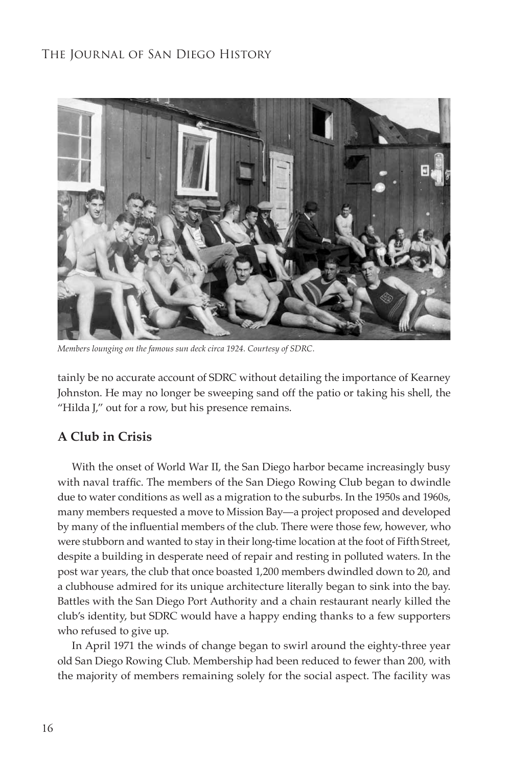

*Members lounging on the famous sun deck circa 1924. Courtesy of SDRC.* 

tainly be no accurate account of SDRC without detailing the importance of Kearney Johnston. He may no longer be sweeping sand off the patio or taking his shell, the "Hilda J," out for a row, but his presence remains.

#### **A Club in Crisis**

With the onset of World War II, the San Diego harbor became increasingly busy with naval traffic. The members of the San Diego Rowing Club began to dwindle due to water conditions as well as a migration to the suburbs. In the 1950s and 1960s, many members requested a move to Mission Bay—a project proposed and developed by many of the influential members of the club. There were those few, however, who were stubborn and wanted to stay in their long-time location at the foot of Fifth Street, despite a building in desperate need of repair and resting in polluted waters. In the post war years, the club that once boasted 1,200 members dwindled down to 20, and a clubhouse admired for its unique architecture literally began to sink into the bay. Battles with the San Diego Port Authority and a chain restaurant nearly killed the club's identity, but SDRC would have a happy ending thanks to a few supporters who refused to give up.

In April 1971 the winds of change began to swirl around the eighty-three year old San Diego Rowing Club. Membership had been reduced to fewer than 200, with the majority of members remaining solely for the social aspect. The facility was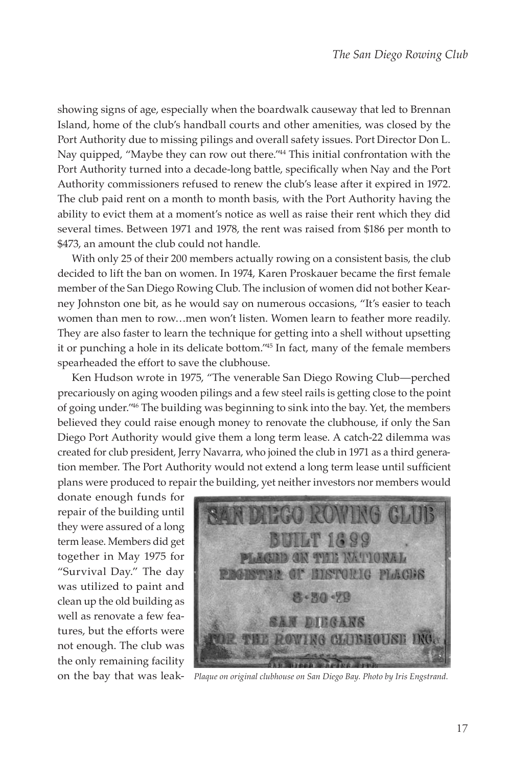showing signs of age, especially when the boardwalk causeway that led to Brennan Island, home of the club's handball courts and other amenities, was closed by the Port Authority due to missing pilings and overall safety issues. Port Director Don L. Nay quipped, "Maybe they can row out there."44 This initial confrontation with the Port Authority turned into a decade-long battle, specifically when Nay and the Port Authority commissioners refused to renew the club's lease after it expired in 1972. The club paid rent on a month to month basis, with the Port Authority having the ability to evict them at a moment's notice as well as raise their rent which they did several times. Between 1971 and 1978, the rent was raised from \$186 per month to \$473, an amount the club could not handle.

With only 25 of their 200 members actually rowing on a consistent basis, the club decided to lift the ban on women. In 1974, Karen Proskauer became the first female member of the San Diego Rowing Club. The inclusion of women did not bother Kearney Johnston one bit, as he would say on numerous occasions, "It's easier to teach women than men to row…men won't listen. Women learn to feather more readily. They are also faster to learn the technique for getting into a shell without upsetting it or punching a hole in its delicate bottom."45 In fact, many of the female members spearheaded the effort to save the clubhouse.

Ken Hudson wrote in 1975, "The venerable San Diego Rowing Club—perched precariously on aging wooden pilings and a few steel rails is getting close to the point of going under."46 The building was beginning to sink into the bay. Yet, the members believed they could raise enough money to renovate the clubhouse, if only the San Diego Port Authority would give them a long term lease. A catch-22 dilemma was created for club president, Jerry Navarra, who joined the club in 1971 as a third genera tion member. The Port Authority would not extend a long term lease until sufficient plans were produced to repair the building, yet neither investors nor members would

donate enough funds for repair of the building until they were assured of a long term lease. Members did get together in May 1975 for "Survival Day." The day was utilized to paint and clean up the old building as well as renovate a few features, but the efforts were not enough. The club was the only remaining facility



on the bay that was leak- *Plaque on original clubhouse on San Diego Bay. Photo by Iris Engstrand.*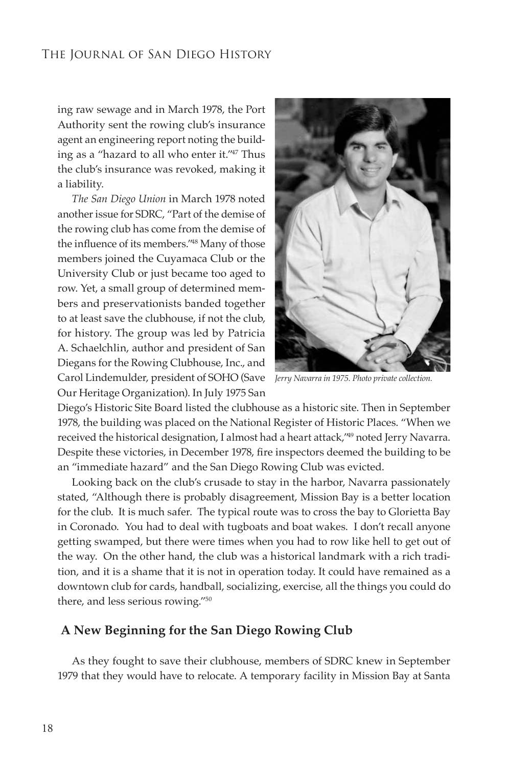ing raw sewage and in March 1978, the Port Authority sent the rowing club's insurance agent an engineering report noting the build ing as a "hazard to all who enter it."<sup>47</sup> Thus the club's insurance was revoked, making it a liability.

*The San Diego Union* in March 1978 noted another issue for SDRC, "Part of the demise of the rowing club has come from the demise of the influence of its members."<sup>48</sup> Many of those members joined the Cuyamaca Club or the University Club or just became too aged to row. Yet, a small group of determined members and preservationists banded together to at least save the clubhouse, if not the club, for history. The group was led by Patricia A. Schaelchlin, author and president of San Diegans for the Rowing Clubhouse, Inc., and Carol Lindemulder, president of SOHO (Save Our Heritage Organization). In July 1975 San



*Jerry Navarra in 1975. Photo private collection.* 

Diego's Historic Site Board listed the clubhouse as a historic site. Then in September 1978, the building was placed on the National Register of Historic Places. "When we received the historical designation, I almost had a heart attack,<sup>149</sup> noted Jerry Navarra. Despite these victories, in December 1978, fire inspectors deemed the building to be an "immediate hazard" and the San Diego Rowing Club was evicted.

Looking back on the club's crusade to stay in the harbor, Navarra passionately stated, "Although there is probably disagreement, Mission Bay is a better location for the club. It is much safer. The typical route was to cross the bay to Glorietta Bay in Coronado. You had to deal with tugboats and boat wakes. I don't recall anyone getting swamped, but there were times when you had to row like hell to get out of the way. On the other hand, the club was a historical landmark with a rich tradition, and it is a shame that it is not in operation today. It could have remained as a downtown club for cards, handball, socializing, exercise, all the things you could do there, and less serious rowing."50

#### **A New Beginning for the San Diego Rowing Club**

As they fought to save their clubhouse, members of SDRC knew in September 1979 that they would have to relocate. A temporary facility in Mission Bay at Santa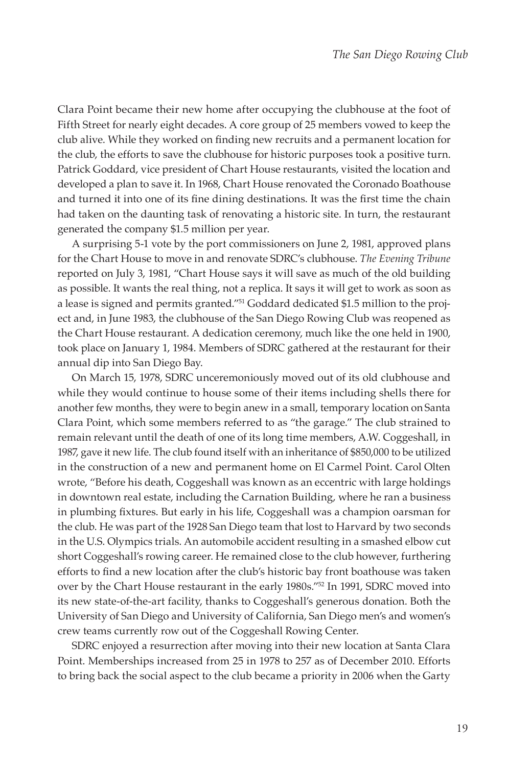Clara Point became their new home after occupying the clubhouse at the foot of Fifth Street for nearly eight decades. A core group of 25 members vowed to keep the club alive. While they worked on finding new recruits and a permanent location for the club, the efforts to save the clubhouse for historic purposes took a positive turn. Patrick Goddard, vice president of Chart House restaurants, visited the location and developed a plan to save it. In 1968, Chart House renovated the Coronado Boathouse and turned it into one of its fine dining destinations. It was the first time the chain had taken on the daunting task of renovating a historic site. In turn, the restaurant generated the company \$1.5 million per year.

A surprising 5-1 vote by the port commissioners on June 2, 1981, approved plans for the Chart House to move in and renovate SDRC's clubhouse. *The Evening Tribune* reported on July 3, 1981, "Chart House says it will save as much of the old building as possible. It wants the real thing, not a replica. It says it will get to work as soon as a lease is signed and permits granted."51 Goddard dedicated \$1.5 million to the project and, in June 1983, the clubhouse of the San Diego Rowing Club was reopened as the Chart House restaurant. A dedication ceremony, much like the one held in 1900, took place on January 1, 1984. Members of SDRC gathered at the restaurant for their annual dip into San Diego Bay.

On March 15, 1978, SDRC unceremoniously moved out of its old clubhouse and while they would continue to house some of their items including shells there for another few months, they were to begin anew in a small, temporary location on Santa Clara Point, which some members referred to as "the garage." The club strained to remain relevant until the death of one of its long time members, A.W. Coggeshall, in 1987, gave it new life. The club found itself with an inheritance of \$850,000 to be utilized in the construction of a new and permanent home on El Carmel Point. Carol Olten wrote, "Before his death, Coggeshall was known as an eccentric with large holdings in downtown real estate, including the Carnation Building, where he ran a business in plumbing fixtures. But early in his life, Coggeshall was a champion oarsman for the club. He was part of the 1928 San Diego team that lost to Harvard by two seconds in the U.S. Olympics trials. An automobile accident resulting in a smashed elbow cut short Coggeshall's rowing career. He remained close to the club however, furthering efforts to find a new location after the club's historic bay front boathouse was taken over by the Chart House restaurant in the early 1980s."52 In 1991, SDRC moved into its new state-of-the-art facility, thanks to Coggeshall's generous donation. Both the University of San Diego and University of California, San Diego men's and women's crew teams currently row out of the Coggeshall Rowing Center.

SDRC enjoyed a resurrection after moving into their new location at Santa Clara Point. Memberships increased from 25 in 1978 to 257 as of December 2010. Efforts to bring back the social aspect to the club became a priority in 2006 when the Garty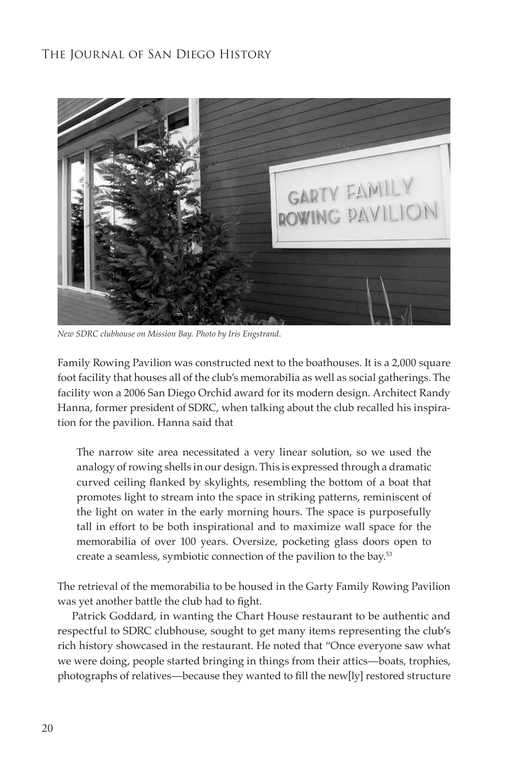

*New SDRC clubhouse on Mission Bay. Photo by Iris Engstrand.* 

Family Rowing Pavilion was constructed next to the boathouses. It is a 2,000 square foot facility that houses all of the club's memorabilia as well as social gatherings. The facility won a 2006 San Diego Orchid award for its modern design. Architect Randy Hanna, former president of SDRC, when talking about the club recalled his inspiration for the pavilion. Hanna said that

The narrow site area necessitated a very linear solution, so we used the analogy of rowing shells in our design. This is expressed through a dramatic curved ceiling flanked by skylights, resembling the bottom of a boat that promotes light to stream into the space in striking patterns, reminiscent of the light on water in the early morning hours. The space is purposefully tall in effort to be both inspirational and to maximize wall space for the memorabilia of over 100 years. Oversize, pocketing glass doors open to create a seamless, symbiotic connection of the pavilion to the bay.53

The retrieval of the memorabilia to be housed in the Garty Family Rowing Pavilion was yet another battle the club had to fight.

Patrick Goddard, in wanting the Chart House restaurant to be authentic and respectful to SDRC clubhouse, sought to get many items representing the club's rich history showcased in the restaurant. He noted that "Once everyone saw what we were doing, people started bringing in things from their attics—boats, trophies, photographs of relatives—because they wanted to fill the new[ly] restored structure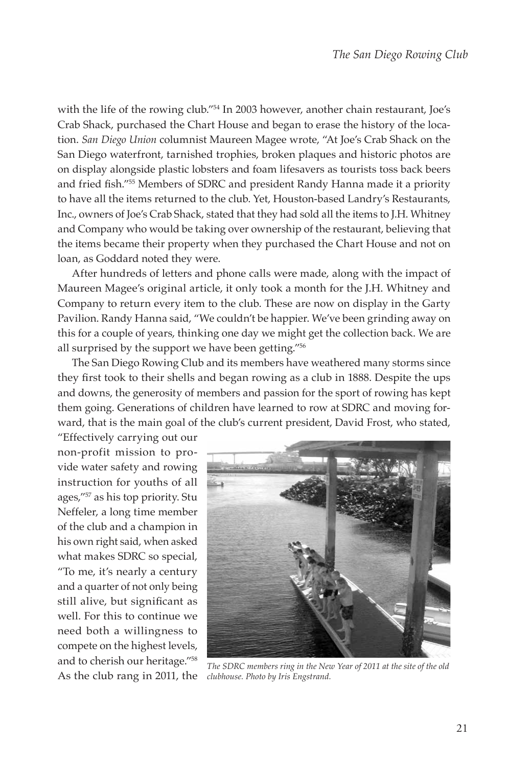with the life of the rowing club."<sup>54</sup> In 2003 however, another chain restaurant, Joe's Crab Shack, purchased the Chart House and began to erase the history of the location. *San Diego Union* columnist Maureen Magee wrote, "At Joe's Crab Shack on the San Diego waterfront, tarnished trophies, broken plaques and historic photos are on display alongside plastic lobsters and foam lifesavers as tourists toss back beers and fried fish."<sup>55</sup> Members of SDRC and president Randy Hanna made it a priority to have all the items returned to the club. Yet, Houston-based Landry's Restaurants, Inc., owners of Joe's Crab Shack, stated that they had sold all the items to J.H. Whitney and Company who would be taking over ownership of the restaurant, believing that the items became their property when they purchased the Chart House and not on loan, as Goddard noted they were.

After hundreds of letters and phone calls were made, along with the impact of Maureen Magee's original article, it only took a month for the J.H. Whitney and Company to return every item to the club. These are now on display in the Garty Pavilion. Randy Hanna said, "We couldn't be happier. We've been grinding away on this for a couple of years, thinking one day we might get the collection back. We are all surprised by the support we have been getting."56

The San Diego Rowing Club and its members have weathered many storms since they first took to their shells and began rowing as a club in 1888. Despite the ups and downs, the generosity of members and passion for the sport of rowing has kept them going. Generations of children have learned to row at SDRC and moving forward, that is the main goal of the club's current president, David Frost, who stated,

"Effectively carrying out our non-profit mission to provide water safety and rowing instruction for youths of all ages,"57 as his top priority. Stu Neffeler, a long time member of the club and a champion in his own right said, when asked what makes SDRC so special, "To me, it's nearly a century and a quarter of not only being still alive, but significant as well. For this to continue we need both a willingness to compete on the highest levels, and to cherish our heritage."58



As the club rang in 2011, the *The SDRC members ring in the New Year of 2011 at the site of the old*   $\emph{clubhouse. Photo by Iris Engstrand.}$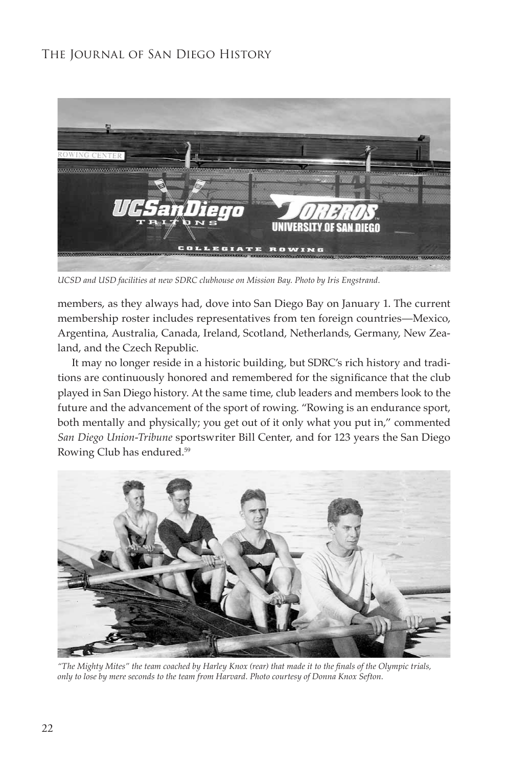

UCSD and USD facilities at new SDRC clubhouse on Mission Bay. Photo by Iris Engstrand.

members, as they always had, dove into San Diego Bay on January 1. The current membership roster includes representatives from ten foreign countries—Mexico, Argentina, Australia, Canada, Ireland, Scotland, Netherlands, Germany, New Zea land, and the Czech Republic.

It may no longer reside in a historic building, but SDRC's rich history and tradi tions are continuously honored and remembered for the significance that the club played in San Diego history. At the same time, club leaders and members look to the future and the advancement of the sport of rowing. "Rowing is an endurance sport, both mentally and physically; you get out of it only what you put in," commented *San Diego Union-Tribune* sportswriter Bill Center, and for 123 years the San Diego Rowing Club has endured.59



"The Mighty Mites" the team coached by Harley Knox (rear) that made it to the finals of the Olympic trials,  $\rho$ <sub>*phly to lose by mere seconds to the team from Harvard. Photo courtesy of Donna Knox Sefton.*</sub>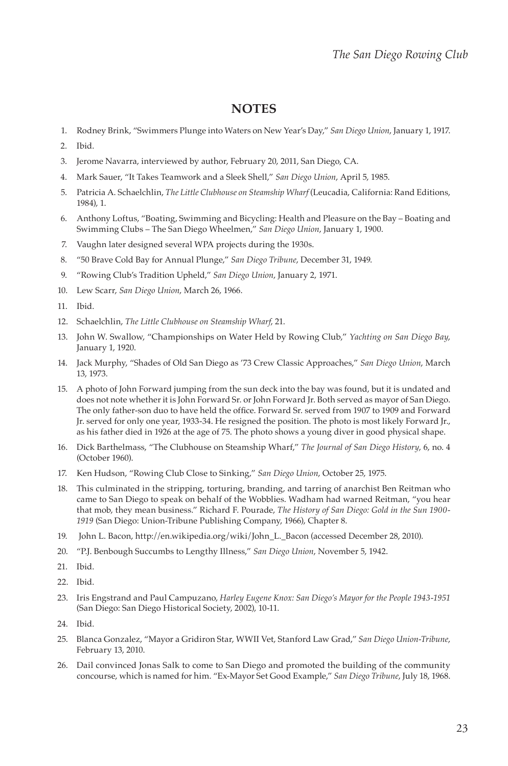#### **NOTES**

- 1. Rodney Brink, "Swimmers Plunge into Waters on New Year's Day," *San Diego Union*, January 1, 1917.
- 2. Ibid.
- 3. Jerome Navarra, interviewed by author, February 20, 2011, San Diego, CA.
- 4. Mark Sauer, "It Takes Teamwork and a Sleek Shell," *San Diego Union*, April 5, 1985.
- 5. Patricia A. Schaelchlin, *The Little Clubhouse on Steamship Wharf* (Leucadia, California: Rand Editions, 1984), 1.
- 6. Anthony Loftus, "Boating, Swimming and Bicycling: Health and Pleasure on the Bay Boating and Swimming Clubs – The San Diego Wheelmen," *San Diego Union*, January 1, 1900.
- 7. Vaughn later designed several WPA projects during the 1930s.
- 8. "50 Brave Cold Bay for Annual Plunge," *San Diego Tribune*, December 31, 1949.
- 9. "Rowing Club's Tradition Upheld," *San Diego Union*, January 2, 1971.
- 10. Lew Scarr, *San Diego Union*, March 26, 1966.
- 11. Ibid.
- 12. Schaelchlin, *The Little Clubhouse on Steamship Wharf*, 21.
- 13. John W. Swallow, "Championships on Water Held by Rowing Club," *Yachting on San Diego Bay*, January 1, 1920.
- 14. Jack Murphy, "Shades of Old San Diego as '73 Crew Classic Approaches," *San Diego Union*, March 13, 1973.
- 15. A photo of John Forward jumping from the sun deck into the bay was found, but it is undated and does not note whether it is John Forward Sr. or John Forward Jr. Both served as mayor of San Diego. The only father-son duo to have held the office. Forward Sr. served from 1907 to 1909 and Forward Jr. served for only one year, 1933-34. He resigned the position. The photo is most likely Forward Jr., as his father died in 1926 at the age of 75. The photo shows a young diver in good physical shape.
- 16. Dick Barthelmass, "The Clubhouse on Steamship Wharf," *The Journal of San Diego History*, 6, no. 4 (October 1960).
- 17. Ken Hudson, "Rowing Club Close to Sinking," *San Diego Union*, October 25, 1975.
- 18. This culminated in the stripping, torturing, branding, and tarring of anarchist Ben Reitman who came to San Diego to speak on behalf of the Wobblies. Wadham had warned Reitman, "you hear that mob, they mean business." Richard F. Pourade, *The History of San Diego: Gold in the Sun 1900-1919* (San Diego: Union-Tribune Publishing Company, 1966), Chapter 8.
- 19. John L. Bacon, http://en.wikipedia.org/wiki/John\_L.\_Bacon (accessed December 28, 2010).
- 20. "P.J. Benbough Succumbs to Lengthy Illness," *San Diego Union*, November 5, 1942.
- 21. Ibid.
- 22. Ibid.
- 23. Iris Engstrand and Paul Campuzano, Harley Eugene Knox: San Diego's Mayor for the People 1943-1951 (San Diego: San Diego Historical Society, 2002), 10-11.
- 24. Ibid.
- 25. Blanca Gonzalez, "Mayor a Gridiron Star, WWII Vet, Stanford Law Grad," San Diego Union-Tribune, February 13, 2010.
- 26. Dail convinced Jonas Salk to come to San Diego and promoted the building of the community concourse, which is named for him. "Ex-Mayor Set Good Example," *San Diego Tribune*, July 18, 1968.